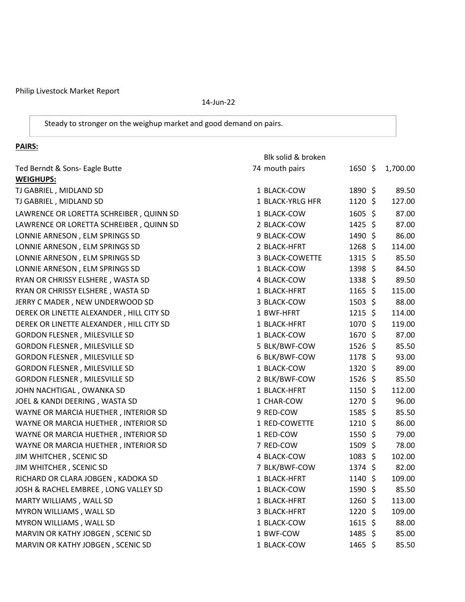Philip Livestock Market Report

14-Jun-22

Steady to stronger on the weighup market and good demand on pairs.

## **PAIRS:**

|                                          | Blk solid & broken |                 |          |
|------------------------------------------|--------------------|-----------------|----------|
| Ted Berndt & Sons- Eagle Butte           | 74 mouth pairs     | $1650 \;$ \$    | 1,700.00 |
| <b>WEIGHUPS:</b>                         |                    |                 |          |
| TJ GABRIEL, MIDLAND SD                   | 1 BLACK-COW        | 1890 \$         | 89.50    |
| TJ GABRIEL, MIDLAND SD                   | 1 BLACK-YRLG HFR   | $1120 \;$ \$    | 127.00   |
| LAWRENCE OR LORETTA SCHREIBER, QUINN SD  | 1 BLACK-COW        | 1605 \$         | 87.00    |
| LAWRENCE OR LORETTA SCHREIBER, QUINN SD  | 2 BLACK-COW        | $1425$ \$       | 87.00    |
| LONNIE ARNESON, ELM SPRINGS SD           | 9 BLACK-COW        | $1490 \;$ \$    | 86.00    |
| LONNIE ARNESON, ELM SPRINGS SD           | 2 BLACK-HFRT       | $1268$ \$       | 114.00   |
| LONNIE ARNESON, ELM SPRINGS SD           | 3 BLACK-COWETTE    | $1315$ \$       | 85.50    |
| LONNIE ARNESON, ELM SPRINGS SD           | 1 BLACK-COW        | 1398 \$         | 84.50    |
| RYAN OR CHRISSY ELSHERE, WASTA SD        | 4 BLACK-COW        | $1338 \;$ \$    | 89.50    |
| RYAN OR CHRISSY ELSHERE, WASTA SD        | 1 BLACK-HFRT       | $1165$ \$       | 115.00   |
| JERRY C MADER, NEW UNDERWOOD SD          | 3 BLACK-COW        | $1503 \; \xi$   | 88.00    |
| DEREK OR LINETTE ALEXANDER, HILL CITY SD | 1 BWF-HFRT         | $1215$ \$       | 114.00   |
| DEREK OR LINETTE ALEXANDER, HILL CITY SD | 1 BLACK-HFRT       | 1070 \$         | 119.00   |
| GORDON FLESNER, MILESVILLE SD            | 1 BLACK-COW        | 1670 \$         | 87.00    |
| GORDON FLESNER, MILESVILLE SD            | 5 BLK/BWF-COW      | $1526$ \$       | 85.50    |
| <b>GORDON FLESNER, MILESVILLE SD</b>     | 6 BLK/BWF-COW      | 1178 \$         | 93.00    |
| <b>GORDON FLESNER, MILESVILLE SD</b>     | 1 BLACK-COW        | 1320 \$         | 89.00    |
| GORDON FLESNER, MILESVILLE SD            | 2 BLK/BWF-COW      | $1526$ \$       | 85.50    |
| JOHN NACHTIGAL, OWANKA SD                | 1 BLACK-HFRT       | $1150 \;$ \$    | 112.00   |
| JOEL & KANDI DEERING, WASTA SD           | 1 CHAR-COW         | 1270 \$         | 96.00    |
| WAYNE OR MARCIA HUETHER, INTERIOR SD     | 9 RED-COW          | $1585$ \$       | 85.50    |
| WAYNE OR MARCIA HUETHER, INTERIOR SD     | 1 RED-COWETTE      | 1210 \$         | 86.00    |
| WAYNE OR MARCIA HUETHER, INTERIOR SD     | 1 RED-COW          | 1550 \$         | 79.00    |
| WAYNE OR MARCIA HUETHER, INTERIOR SD     | 7 RED-COW          | 1509 \$         | 78.00    |
| JIM WHITCHER, SCENIC SD                  | 4 BLACK-COW        | $1083 \; \zeta$ | 102.00   |
| JIM WHITCHER, SCENIC SD                  | 7 BLK/BWF-COW      | 1374 \$         | 82.00    |
| RICHARD OR CLARA JOBGEN, KADOKA SD       | 1 BLACK-HFRT       | 1140 \$         | 109.00   |
| JOSH & RACHEL EMBREE, LONG VALLEY SD     | 1 BLACK-COW        | 1590 \$         | 85.50    |
| MARTY WILLIAMS, WALL SD                  | 1 BLACK-HFRT       | $1260$ \$       | 113.00   |
| MYRON WILLIAMS, WALL SD                  | 3 BLACK-HFRT       | 1220 \$         | 109.00   |
| MYRON WILLIAMS, WALL SD                  | 1 BLACK-COW        | $1615$ \$       | 88.00    |
| MARVIN OR KATHY JOBGEN, SCENIC SD        | 1 BWF-COW          | $1485$ \$       | 85.00    |
| MARVIN OR KATHY JOBGEN, SCENIC SD        | 1 BLACK-COW        | 1465 \$         | 85.50    |